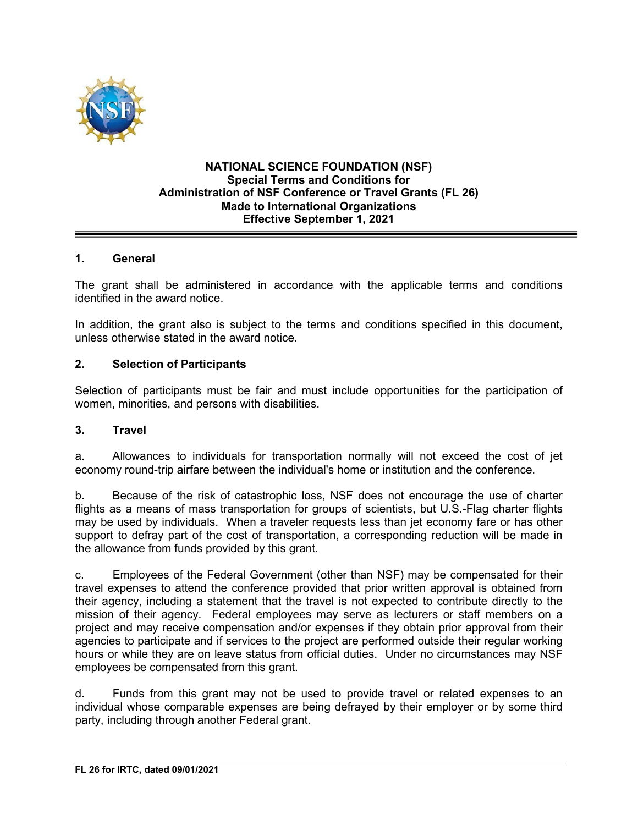

### **NATIONAL SCIENCE FOUNDATION (NSF) Special Terms and Conditions for Administration of NSF Conference or Travel Grants (FL 26) Made to International Organizations Effective September 1, 2021**

## **1. General**

The grant shall be administered in accordance with the applicable terms and conditions identified in the award notice.

In addition, the grant also is subject to the terms and conditions specified in this document, unless otherwise stated in the award notice.

### **2. Selection of Participants**

Selection of participants must be fair and must include opportunities for the participation of women, minorities, and persons with disabilities.

### **3. Travel**

a. Allowances to individuals for transportation normally will not exceed the cost of jet economy round-trip airfare between the individual's home or institution and the conference.

b. Because of the risk of catastrophic loss, NSF does not encourage the use of charter flights as a means of mass transportation for groups of scientists, but U.S.-Flag charter flights may be used by individuals. When a traveler requests less than jet economy fare or has other support to defray part of the cost of transportation, a corresponding reduction will be made in the allowance from funds provided by this grant.

c. Employees of the Federal Government (other than NSF) may be compensated for their travel expenses to attend the conference provided that prior written approval is obtained from their agency, including a statement that the travel is not expected to contribute directly to the mission of their agency. Federal employees may serve as lecturers or staff members on a project and may receive compensation and/or expenses if they obtain prior approval from their agencies to participate and if services to the project are performed outside their regular working hours or while they are on leave status from official duties. Under no circumstances may NSF employees be compensated from this grant.

d. Funds from this grant may not be used to provide travel or related expenses to an individual whose comparable expenses are being defrayed by their employer or by some third party, including through another Federal grant.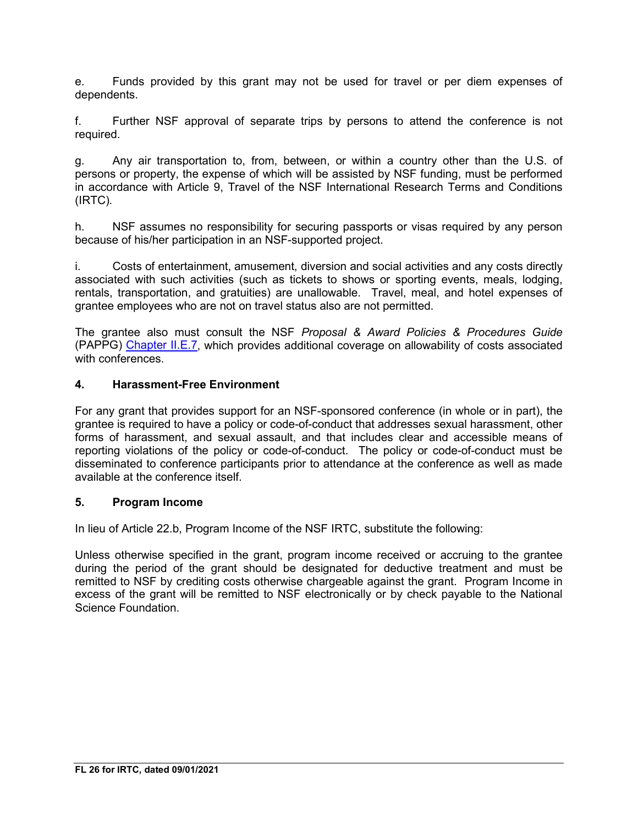e. Funds provided by this grant may not be used for travel or per diem expenses of dependents.

f. Further NSF approval of separate trips by persons to attend the conference is not required.

g. Any air transportation to, from, between, or within a country other than the U.S. of persons or property, the expense of which will be assisted by NSF funding, must be performed in accordance with Article 9, Travel of the NSF International Research Terms and Conditions (IRTC)*.*

h. NSF assumes no responsibility for securing passports or visas required by any person because of his/her participation in an NSF-supported project.

i. Costs of entertainment, amusement, diversion and social activities and any costs directly associated with such activities (such as tickets to shows or sporting events, meals, lodging, rentals, transportation, and gratuities) are unallowable. Travel, meal, and hotel expenses of grantee employees who are not on travel status also are not permitted.

The grantee also must consult the NSF *Proposal & Award Policies & Procedures Guide* (PAPPG) Chapter II.E.7, which provides additional coverage on allowability of costs associated with conferences

### **4. Harassment-Free Environment**

For any grant that provides support for an NSF-sponsored conference (in whole or in part), the grantee is required to have a policy or code-of-conduct that addresses sexual harassment, other forms of harassment, and sexual assault, and that includes clear and accessible means of reporting violations of the policy or code-of-conduct. The policy or code-of-conduct must be disseminated to conference participants prior to attendance at the conference as well as made available at the conference itself.

### **5. Program Income**

In lieu of Article 22.b, Program Income of the NSF IRTC, substitute the following:

Unless otherwise specified in the grant, program income received or accruing to the grantee during the period of the grant should be designated for deductive treatment and must be remitted to NSF by crediting costs otherwise chargeable against the grant. Program Income in excess of the grant will be remitted to NSF electronically or by check payable to the National Science Foundation.